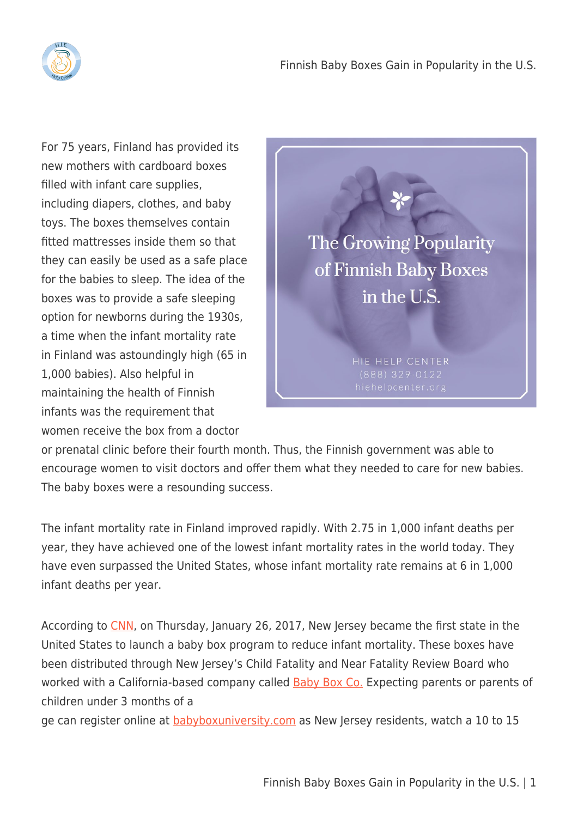

For 75 years, Finland has provided its new mothers with cardboard boxes filled with infant care supplies, including diapers, clothes, and baby toys. The boxes themselves contain fitted mattresses inside them so that they can easily be used as a safe place for the babies to sleep. The idea of the boxes was to provide a safe sleeping option for newborns during the 1930s, a time when the infant mortality rate in Finland was astoundingly high (65 in 1,000 babies). Also helpful in maintaining the health of Finnish infants was the requirement that women receive the box from a doctor



or prenatal clinic before their fourth month. Thus, the Finnish government was able to encourage women to visit doctors and offer them what they needed to care for new babies. The baby boxes were a resounding success.

The infant mortality rate in Finland improved rapidly. With 2.75 in 1,000 infant deaths per year, they have achieved one of the lowest infant mortality rates in the world today. They have even surpassed the United States, whose infant mortality rate remains at 6 in 1,000 infant deaths per year.

According to [CNN,](http://www.cnn.com/2017/01/26/health/new-jersey-baby-boxes-safe-sleep/) on Thursday, January 26, 2017, New Jersey became the first state in the United States to launch a baby box program to reduce infant mortality. These boxes have been distributed through New Jersey's Child Fatality and Near Fatality Review Board who worked with a California-based company called **[Baby Box Co.](http://www.babyboxco.com/)** Expecting parents or parents of children under 3 months of a

ge can register online at **babyboxuniversity.com** as New Jersey residents, watch a 10 to 15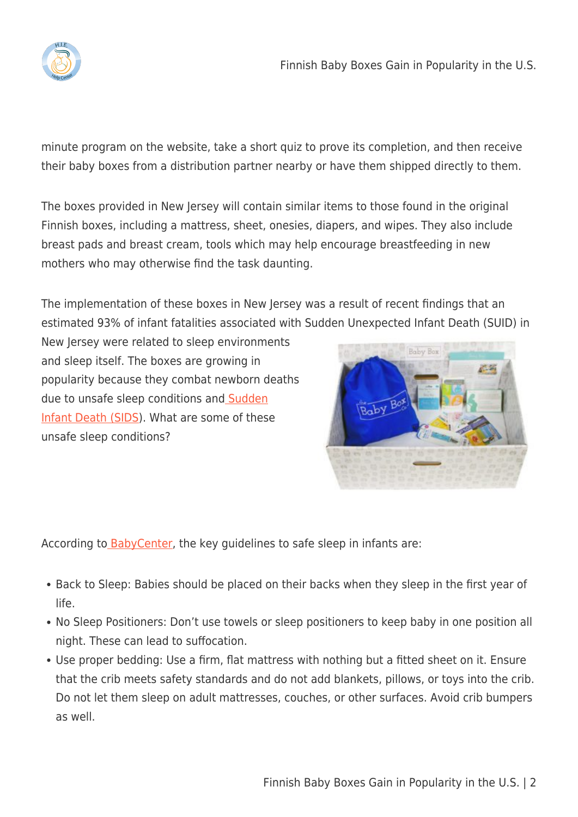

minute program on the website, take a short quiz to prove its completion, and then receive their baby boxes from a distribution partner nearby or have them shipped directly to them.

The boxes provided in New Jersey will contain similar items to those found in the original Finnish boxes, including a mattress, sheet, onesies, diapers, and wipes. They also include breast pads and breast cream, tools which may help encourage breastfeeding in new mothers who may otherwise find the task daunting.

The implementation of these boxes in New Jersey was a result of recent findings that an estimated 93% of infant fatalities associated with Sudden Unexpected Infant Death (SUID) in

New Jersey were related to sleep environments and sleep itself. The boxes are growing in popularity because they combat newborn deaths due to unsafe sleep conditions and [Sudden](http://www.mayoclinic.org/diseases-conditions/sudden-infant-death-syndrome/basics/definition/con-20020269) [Infant Death \(SIDS\)](http://www.mayoclinic.org/diseases-conditions/sudden-infant-death-syndrome/basics/definition/con-20020269). What are some of these unsafe sleep conditions?



According to **BabyCenter**, the key guidelines to safe sleep in infants are:

- Back to Sleep: Babies should be placed on their backs when they sleep in the first year of life.
- No Sleep Positioners: Don't use towels or sleep positioners to keep baby in one position all night. These can lead to suffocation.
- Use proper bedding: Use a firm, flat mattress with nothing but a fitted sheet on it. Ensure that the crib meets safety standards and do not add blankets, pillows, or toys into the crib. Do not let them sleep on adult mattresses, couches, or other surfaces. Avoid crib bumpers as well.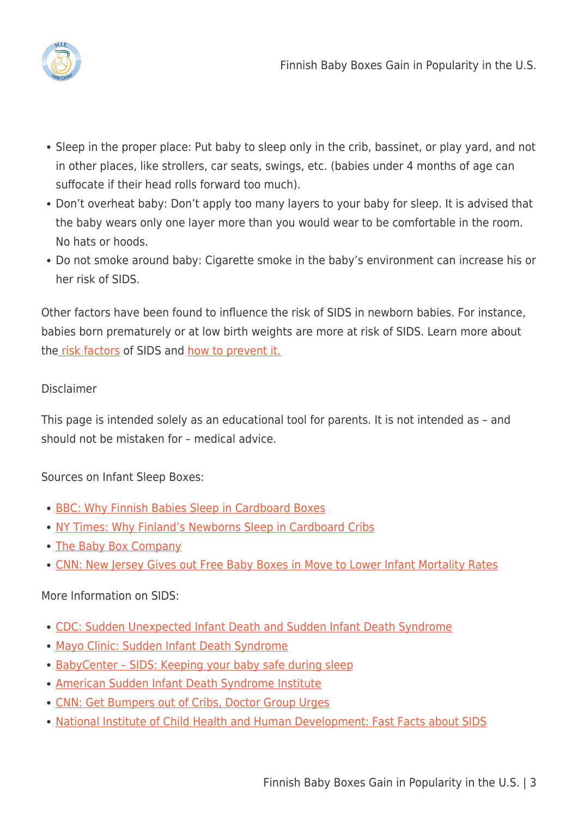

- Sleep in the proper place: Put baby to sleep only in the crib, bassinet, or play yard, and not in other places, like strollers, car seats, swings, etc. (babies under 4 months of age can suffocate if their head rolls forward too much).
- Don't overheat baby: Don't apply too many layers to your baby for sleep. It is advised that the baby wears only one layer more than you would wear to be comfortable in the room. No hats or hoods.
- Do not smoke around baby: Cigarette smoke in the baby's environment can increase his or her risk of SIDS.

Other factors have been found to influence the risk of SIDS in newborn babies. For instance, babies born prematurely or at low birth weights are more at risk of SIDS. Learn more about th[e risk factors](http://www.mayoclinic.org/diseases-conditions/sudden-infant-death-syndrome/basics/risk-factors/con-20020269) of SIDS and [how to prevent it.](http://www.mayoclinic.org/diseases-conditions/sudden-infant-death-syndrome/basics/prevention/con-20020269)

## Disclaimer

This page is intended solely as an educational tool for parents. It is not intended as – and should not be mistaken for – medical advice.

Sources on Infant Sleep Boxes:

- [BBC: Why Finnish Babies Sleep in Cardboard Boxes](http://www.bbc.com/news/magazine-22751415)
- [NY Times: Why Finland's Newborns Sleep in Cardboard Cribs](https://www.nytimes.com/2016/07/07/world/what-in-the-world/finland-baby-box.html?_r=0)
- [The Baby Box Company](http://www.babyboxco.com)
- [CNN: New Jersey Gives out Free Baby Boxes in Move to Lower Infant Mortality Rates](http://www.cnn.com/2017/01/26/health/new-jersey-baby-boxes-safe-sleep/)

## More Information on SIDS:

- [CDC: Sudden Unexpected Infant Death and Sudden Infant Death Syndrome](https://www.cdc.gov/sids/)
- [Mayo Clinic: Sudden Infant Death Syndrome](http://www.mayoclinic.org/diseases-conditions/sudden-infant-death-syndrome/basics/definition/con-20020269)
- BabyCenter SIDS: Keeping your baby safe during sleep
- [American Sudden Infant Death Syndrome Institute](http://sids.org)
- [CNN: Get Bumpers out of Cribs, Doctor Group Urges](http://www.cnn.com/2011/10/18/health/no-bumpers-cribs-sids-parenting/)
- [National Institute of Child Health and Human Development: Fast Facts about SIDS](https://www.nichd.nih.gov/sts/about/SIDS/Pages/fastfacts.aspx)